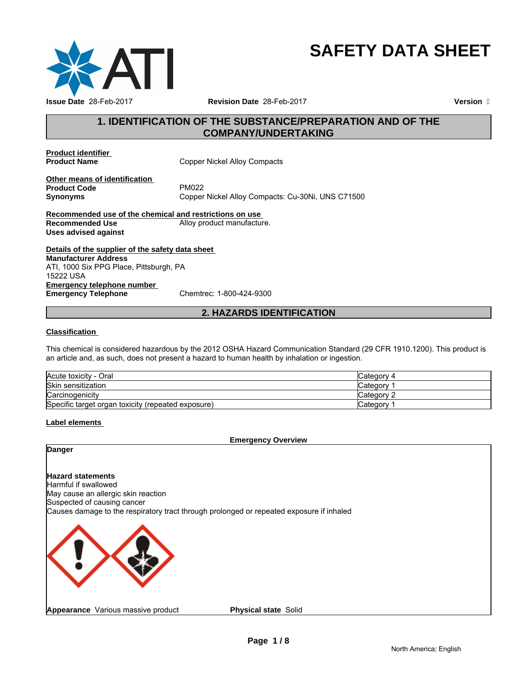

# **SAFETY DATA SHEET**

# **1. IDENTIFICATION OF THE SUBSTANCE/PREPARATION AND OF THE COMPANY/UNDERTAKING**

**Product identifier** 

**Copper Nickel Alloy Compacts** 

**Other means of identification**<br>**Product Code** PM022 **Product Code**<br>Synonyms

Copper Nickel Alloy Compacts: Cu-30Ni, UNS C71500

**Recommended use of the chemical and restrictions on use Recommended Use Alloy product manufacture. Uses advised against**

**Details of the supplier of the safety data sheet Emergency telephone number**<br> **Emergency Telephone**<br>
Chemtrec: 1-800-424-9300 **Emergency Telephone Manufacturer Address** ATI, 1000 Six PPG Place, Pittsburgh, PA 15222 USA

# **2. HAZARDS IDENTIFICATION**

# **Classification**

This chemical is considered hazardous by the 2012 OSHA Hazard Communication Standard (29 CFR 1910.1200). This product is an article and, as such, does not present a hazard to human health by inhalation or ingestion.

| Acute toxicity - Oral                              | Category 4   |
|----------------------------------------------------|--------------|
| <b>Skin sensitization</b>                          | ∵ategory     |
| Carcinogenicity                                    | Category 2   |
| Specific target organ toxicity (repeated exposure) | , category ∂ |

# **Label elements**

**Emergency Overview**

**Danger**

# **Hazard statements**

Harmful if swallowed May cause an allergic skin reaction Suspected of causing cancer Causes damage to the respiratory tract through prolonged or repeated exposure if inhaled



**Physical state** Solid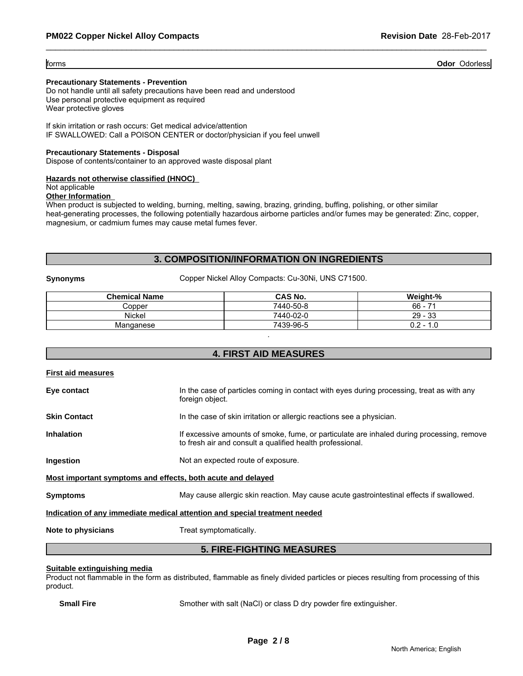forms **Odor** Odorless

# **Precautionary Statements - Prevention**

Do not handle until all safety precautions have been read and understood Use personal protective equipment as required Wear protective gloves

If skin irritation or rash occurs: Get medical advice/attention IF SWALLOWED: Call a POISON CENTER or doctor/physician if you feel unwell

#### **Precautionary Statements - Disposal**

Dispose of contents/container to an approved waste disposal plant

# **Hazards not otherwise classified (HNOC)**

Not applicable

# **Other Information**

When product is subjected to welding, burning, melting, sawing, brazing, grinding, buffing, polishing, or other similar heat-generating processes, the following potentially hazardous airborne particles and/or fumes may be generated: Zinc, copper, magnesium, or cadmium fumes may cause metal fumes fever.

# **3. COMPOSITION/INFORMATION ON INGREDIENTS**

**Synonyms** Copper Nickel Alloy Compacts: Cu-30Ni, UNS C71500.

| <b>Chemical Name</b> | CAS No.   | Weight-%                           |
|----------------------|-----------|------------------------------------|
| Copper               | 7440-50-8 | $66 -$<br>$\overline{\phantom{a}}$ |
| Nickel               | 7440-02-0 | $29 - 33$                          |
| Manganese            | 7439-96-5 | 0.2<br>1.0<br>. .                  |
|                      |           |                                    |

# **4. FIRST AID MEASURES**

| <b>First aid measures</b>                                   |                                                                                                                                                        |
|-------------------------------------------------------------|--------------------------------------------------------------------------------------------------------------------------------------------------------|
| Eye contact                                                 | In the case of particles coming in contact with eyes during processing, treat as with any<br>foreign object.                                           |
| <b>Skin Contact</b>                                         | In the case of skin irritation or allergic reactions see a physician.                                                                                  |
| <b>Inhalation</b>                                           | If excessive amounts of smoke, fume, or particulate are inhaled during processing, remove<br>to fresh air and consult a qualified health professional. |
| Ingestion                                                   | Not an expected route of exposure.                                                                                                                     |
| Most important symptoms and effects, both acute and delayed |                                                                                                                                                        |
| <b>Symptoms</b>                                             | May cause allergic skin reaction. May cause acute gastrointestinal effects if swallowed.                                                               |
|                                                             | Indication of any immediate medical attention and special treatment needed                                                                             |
| Note to physicians                                          | Treat symptomatically.                                                                                                                                 |
|                                                             | <b>5. FIRE-FIGHTING MEASURES</b>                                                                                                                       |

#### **Suitable extinguishing media**

Product not flammable in the form as distributed, flammable as finely divided particles or pieces resulting from processing of this product.

**Small Fire** Smother with salt (NaCl) or class D dry powder fire extinguisher.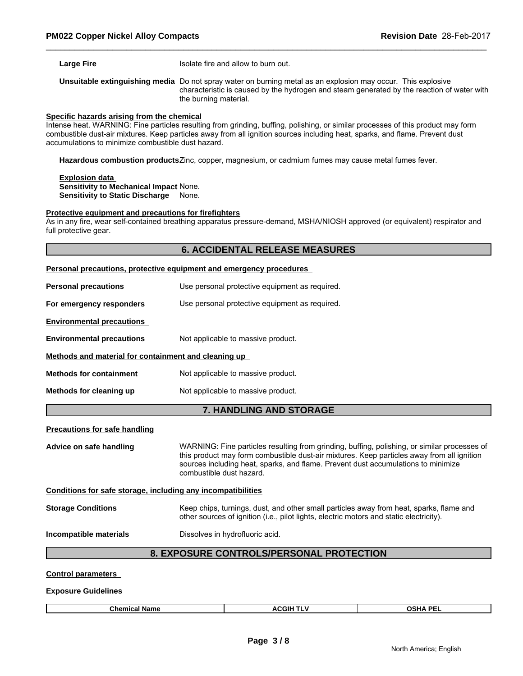**Large Fire ISOlate fire and allow to burn out.** 

**Unsuitable extinguishing media** Do not spray water on burning metal as an explosion may occur. This explosive characteristic is caused by the hydrogen and steam generated by the reaction of water with the burning material.

#### **Specific hazards arising from the chemical**

Intense heat. WARNING: Fine particles resulting from grinding, buffing, polishing, or similar processes of this product may form combustible dust-air mixtures. Keep particles away from all ignition sources including heat, sparks, and flame. Prevent dust accumulations to minimize combustible dust hazard.

**Hazardous combustion products**Zinc, copper, magnesium, or cadmium fumes may cause metal fumes fever.

# **Explosion data Sensitivity to Mechanical Impact** None.

**Sensitivity to Static Discharge** None.

#### **Protective equipment and precautions for firefighters**

As in any fire, wear self-contained breathing apparatus pressure-demand, MSHA/NIOSH approved (or equivalent) respirator and full protective gear.

# **6. ACCIDENTAL RELEASE MEASURES**

|                                                              | <b>Personal precautions, protective equipment and emergency procedures</b>                                                                                                                                                                                                                                  |
|--------------------------------------------------------------|-------------------------------------------------------------------------------------------------------------------------------------------------------------------------------------------------------------------------------------------------------------------------------------------------------------|
| <b>Personal precautions</b>                                  | Use personal protective equipment as required.                                                                                                                                                                                                                                                              |
| For emergency responders                                     | Use personal protective equipment as required.                                                                                                                                                                                                                                                              |
| <b>Environmental precautions</b>                             |                                                                                                                                                                                                                                                                                                             |
| <b>Environmental precautions</b>                             | Not applicable to massive product.                                                                                                                                                                                                                                                                          |
| Methods and material for containment and cleaning up         |                                                                                                                                                                                                                                                                                                             |
| <b>Methods for containment</b>                               | Not applicable to massive product.                                                                                                                                                                                                                                                                          |
| Methods for cleaning up                                      | Not applicable to massive product.                                                                                                                                                                                                                                                                          |
|                                                              | <b>7. HANDLING AND STORAGE</b>                                                                                                                                                                                                                                                                              |
| <b>Precautions for safe handling</b>                         |                                                                                                                                                                                                                                                                                                             |
| Advice on safe handling                                      | WARNING: Fine particles resulting from grinding, buffing, polishing, or similar processes of<br>this product may form combustible dust-air mixtures. Keep particles away from all ignition<br>sources including heat, sparks, and flame. Prevent dust accumulations to minimize<br>combustible dust hazard. |
| Conditions for safe storage, including any incompatibilities |                                                                                                                                                                                                                                                                                                             |
| <b>Storage Conditions</b>                                    | Keep chips, turnings, dust, and other small particles away from heat, sparks, flame and<br>other sources of ignition (i.e., pilot lights, electric motors and static electricity).                                                                                                                          |
| Incompatible materials                                       | Dissolves in hydrofluoric acid.                                                                                                                                                                                                                                                                             |
|                                                              |                                                                                                                                                                                                                                                                                                             |

# **8. EXPOSURE CONTROLS/PERSONAL PROTECTION**

**Control parameters** 

**Exposure Guidelines**

|--|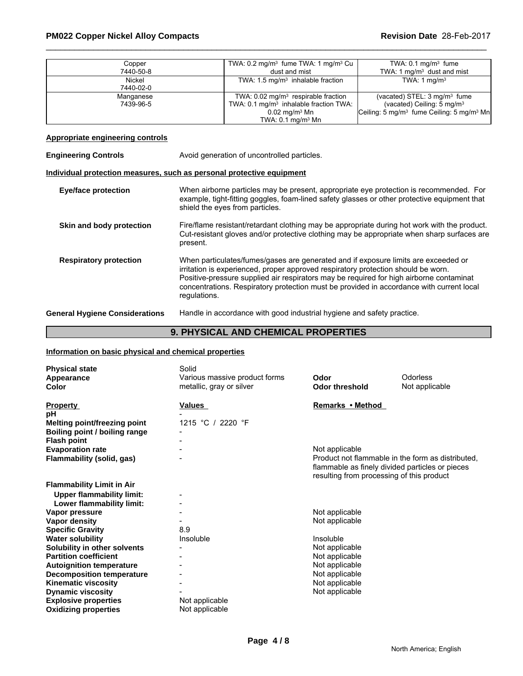| Copper    | TWA: $0.2 \text{ mg/m}^3$ fume TWA: 1 mg/m <sup>3</sup> Cu | TWA: $0.1 \text{ mg/m}^3$ fume                                               |
|-----------|------------------------------------------------------------|------------------------------------------------------------------------------|
| 7440-50-8 | dust and mist                                              | TWA: 1 $mq/m3$ dust and mist                                                 |
| Nickel    | TWA: $1.5 \text{ mg/m}^3$ inhalable fraction               | TWA: 1 $mq/m3$                                                               |
| 7440-02-0 |                                                            |                                                                              |
| Manganese | TWA: $0.02 \text{ mg/m}^3$ respirable fraction             | (vacated) STEL: $3 \text{ mg/m}^3$ fume                                      |
| 7439-96-5 | TWA: 0.1 mg/m <sup>3</sup> inhalable fraction TWA:         | (vacated) Ceiling: $5 \text{ mg/m}^3$                                        |
|           | $0.02$ mg/m $^3$ Mn                                        | $\sqrt{C}$ Ceiling: 5 mg/m <sup>3</sup> fume Ceiling: 5 mg/m <sup>3</sup> Mn |
|           | TWA: $0.1 \text{ mg/m}^3$ Mn                               |                                                                              |

# **Appropriate engineering controls**

| <b>Engineering Controls</b>           | Avoid generation of uncontrolled particles.                                                                                                                                                                                                                                                                                                                                    |
|---------------------------------------|--------------------------------------------------------------------------------------------------------------------------------------------------------------------------------------------------------------------------------------------------------------------------------------------------------------------------------------------------------------------------------|
|                                       | Individual protection measures, such as personal protective equipment                                                                                                                                                                                                                                                                                                          |
| <b>Eye/face protection</b>            | When airborne particles may be present, appropriate eye protection is recommended. For<br>example, tight-fitting goggles, foam-lined safety glasses or other protective equipment that<br>shield the eyes from particles.                                                                                                                                                      |
| Skin and body protection              | Fire/flame resistant/retardant clothing may be appropriate during hot work with the product.<br>Cut-resistant gloves and/or protective clothing may be appropriate when sharp surfaces are<br>present.                                                                                                                                                                         |
| <b>Respiratory protection</b>         | When particulates/fumes/gases are generated and if exposure limits are exceeded or<br>irritation is experienced, proper approved respiratory protection should be worn.<br>Positive-pressure supplied air respirators may be required for high airborne contaminat<br>concentrations. Respiratory protection must be provided in accordance with current local<br>regulations. |
| <b>General Hygiene Considerations</b> | Handle in accordance with good industrial hygiene and safety practice.                                                                                                                                                                                                                                                                                                         |

# **9. PHYSICAL AND CHEMICAL PROPERTIES**

# **Information on basic physical and chemical properties**

| <b>Physical state</b><br>Appearance<br><b>Color</b>                                               | Solid<br>Various massive product forms<br>metallic, gray or silver | Odor<br><b>Odor threshold</b>                                                                                                                                       | Odorless<br>Not applicable |
|---------------------------------------------------------------------------------------------------|--------------------------------------------------------------------|---------------------------------------------------------------------------------------------------------------------------------------------------------------------|----------------------------|
| <b>Property</b><br>рH<br><b>Melting point/freezing point</b>                                      | Values<br>1215 °C / 2220 °F                                        | Remarks • Method                                                                                                                                                    |                            |
| Boiling point / boiling range<br><b>Flash point</b>                                               |                                                                    |                                                                                                                                                                     |                            |
| <b>Evaporation rate</b><br>Flammability (solid, gas)                                              |                                                                    | Not applicable<br>Product not flammable in the form as distributed.<br>flammable as finely divided particles or pieces<br>resulting from processing of this product |                            |
| <b>Flammability Limit in Air</b><br><b>Upper flammability limit:</b><br>Lower flammability limit: |                                                                    |                                                                                                                                                                     |                            |
| Vapor pressure                                                                                    |                                                                    | Not applicable                                                                                                                                                      |                            |
| Vapor density<br><b>Specific Gravity</b>                                                          | 8.9                                                                | Not applicable                                                                                                                                                      |                            |
| <b>Water solubility</b>                                                                           | Insoluble                                                          | Insoluble                                                                                                                                                           |                            |
| Solubility in other solvents                                                                      |                                                                    | Not applicable                                                                                                                                                      |                            |
| <b>Partition coefficient</b><br><b>Autoignition temperature</b>                                   |                                                                    | Not applicable<br>Not applicable                                                                                                                                    |                            |
| <b>Decomposition temperature</b>                                                                  |                                                                    | Not applicable                                                                                                                                                      |                            |
| <b>Kinematic viscosity</b>                                                                        |                                                                    | Not applicable                                                                                                                                                      |                            |
| <b>Dynamic viscosity</b>                                                                          |                                                                    | Not applicable                                                                                                                                                      |                            |
| <b>Explosive properties</b><br><b>Oxidizing properties</b>                                        | Not applicable<br>Not applicable                                   |                                                                                                                                                                     |                            |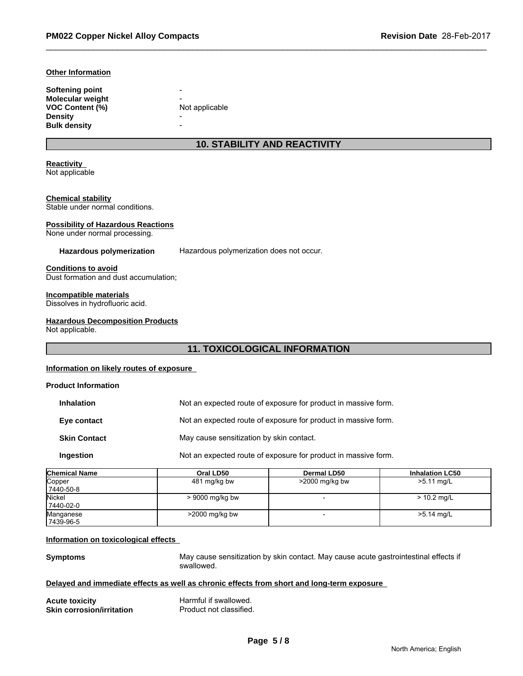#### **Other Information**

| Softening point     | -              |
|---------------------|----------------|
| Molecular weight    | -              |
| VOC Content (%)     | Not applicable |
| Densitv             | -              |
| <b>Bulk density</b> | -              |

# **10. STABILITY AND REACTIVITY**

# **Reactivity**

Not applicable

# **Chemical stability**

Stable under normal conditions.

# **Possibility of Hazardous Reactions**

None under normal processing.

#### **Hazardous polymerization** Hazardous polymerization does not occur.

# **Conditions to avoid**

Dust formation and dust accumulation;

# **Incompatible materials**

Dissolves in hydrofluoric acid.

# **Hazardous Decomposition Products**

Not applicable.

# **11. TOXICOLOGICAL INFORMATION**

# **Information on likely routes of exposure**

# **Product Information Inhalation** Not an expected route of exposure for product in massive form. **Eye contact** Not an expected route of exposure for product in massive form. **Skin Contact** May cause sensitization by skin contact. **Ingestion** Not an expected route of exposure for product in massive form.

| <b>Chemical Name</b> | Oral LD50         | Dermal LD50       | <b>Inhalation LC50</b> |
|----------------------|-------------------|-------------------|------------------------|
| Copper               | 481 mg/kg bw      | $>$ 2000 mg/kg bw | $>5.11$ mg/L           |
| 7440-50-8            |                   |                   |                        |
| Nickel               | $> 9000$ mg/kg bw |                   | $> 10.2$ mg/L          |
| 7440-02-0            |                   |                   |                        |
| Manganese            | >2000 mg/kg bw    |                   | >5.14 mg/L             |
| 7439-96-5            |                   |                   |                        |

# **Information on toxicological effects**

**Symptoms** May cause sensitization by skin contact. May cause acute gastrointestinal effects if swallowed.

# **Delayed and immediate effects as well as chronic effects from short and long-term exposure**

| <b>Acute toxicity</b>            | Harmful if swallowed.   |
|----------------------------------|-------------------------|
| <b>Skin corrosion/irritation</b> | Product not classified. |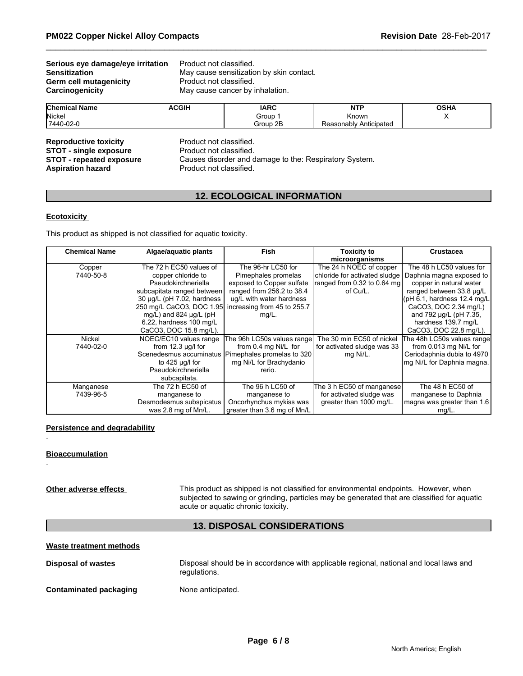# **Serious eye damage/eye irritation** Product not classified.<br>**Sensitization** May cause sensitization **Germ cell mutagenicity<br>Carcinogenicity**

May cause sensitization by skin contact.<br>Product not classified. May cause cancer by inhalation.

| <b>Chemical Name</b> | <b>ACGIF</b> | <b>IARC</b> | <b>NITI</b><br>            | <b>OCU</b><br><b>UJNA</b> |
|----------------------|--------------|-------------|----------------------------|---------------------------|
| Nicke.               |              | Group       | Knowr                      |                           |
| 7440-02-0            |              | Group 2B    | Anticipateo<br>Reasonably, |                           |

**Reproductive toxicity example 18 Reproductive Product not classified.**<br> **STOT - single exposure** Product not classified. **STOT - single exposure** 

**STOT - repeated exposure** Causes disorder and damage to the: Respiratory System.<br>**Aspiration hazard** Product not classified. Product not classified.

# **12. ECOLOGICAL INFORMATION**

# **Ecotoxicity**

This product as shipped is not classified for aquatic toxicity.

| <b>Chemical Name</b> | Algae/aquatic plants       | <b>Fish</b>                 | <b>Toxicity to</b>              | <b>Crustacea</b>            |
|----------------------|----------------------------|-----------------------------|---------------------------------|-----------------------------|
|                      |                            |                             | microorganisms                  |                             |
| Copper               | The 72 h EC50 values of    | The 96-hr LC50 for          | The 24 h NOEC of copper         | The 48 h LC50 values for    |
| 7440-50-8            | copper chloride to         | Pimephales promelas         | chloride for activated sludge   | Daphnia magna exposed to    |
|                      | Pseudokirchneriella        | exposed to Copper sulfate   | ranged from $0.32$ to $0.64$ mg | copper in natural water     |
|                      | subcapitata ranged between | ranged from 256.2 to 38.4   | of Cu/L.                        | ranged between 33.8 µg/L    |
|                      | 30 µg/L (pH 7.02, hardness | ug/L with water hardness    |                                 | (pH 6.1, hardness 12.4 mg/L |
|                      | 250 mg/L CaCO3, DOC 1.95   | increasing from 45 to 255.7 |                                 | CaCO3, DOC 2.34 mg/L)       |
|                      | mg/L) and 824 ug/L (pH     | $mg/L$ .                    |                                 | and 792 µg/L (pH 7.35,      |
|                      | 6.22, hardness 100 mg/L    |                             |                                 | hardness 139.7 mg/L         |
|                      | CaCO3, DOC 15.8 mg/L).     |                             |                                 | CaCO3, DOC 22.8 mg/L).      |
| Nickel               | NOEC/EC10 values range     | The 96h LC50s values range  | The 30 min EC50 of nickel       | The 48h LC50s values rangel |
| 7440-02-0            | from $12.3 \mu g/l$ for    | from 0.4 mg Ni/L for        | for activated sludge was 33     | from 0.013 mg Ni/L for      |
|                      | Scenedesmus accuminatus    | Pimephales promelas to 320  | mg Ni/L.                        | Ceriodaphnia dubia to 4970  |
|                      | to 425 $\mu$ g/l for       | mg Ni/L for Brachydanio     |                                 | mg Ni/L for Daphnia magna.  |
|                      | Pseudokirchneriella        | rerio.                      |                                 |                             |
|                      | subcapitata.               |                             |                                 |                             |
| Manganese            | The 72 h EC50 of           | The 96 h LC50 of            | The 3 h EC50 of manganese       | The 48 h EC50 of            |
| 7439-96-5            | manganese to               | manganese to                | for activated sludge was        | manganese to Daphnia        |
|                      | Desmodesmus subspicatus    | Oncorhynchus mykiss was     | greater than 1000 mg/L.         | magna was greater than 1.6  |
|                      | was 2.8 mg of Mn/L.        | greater than 3.6 mg of Mn/L |                                 | $mg/L$ .                    |

# **Persistence and degradability**

# **Bioaccumulation**

.

.

**Other adverse effects** This product as shipped is not classified for environmental endpoints. However, when subjected to sawing or grinding, particles may be generated that are classified for aquatic acute or aquatic chronic toxicity.

# **13. DISPOSAL CONSIDERATIONS**

# **Waste treatment methods**

| Disposal of wastes            | Disposal should be in accordance with applicable regional, national and local laws and<br>regulations. |
|-------------------------------|--------------------------------------------------------------------------------------------------------|
| <b>Contaminated packaging</b> | None anticipated.                                                                                      |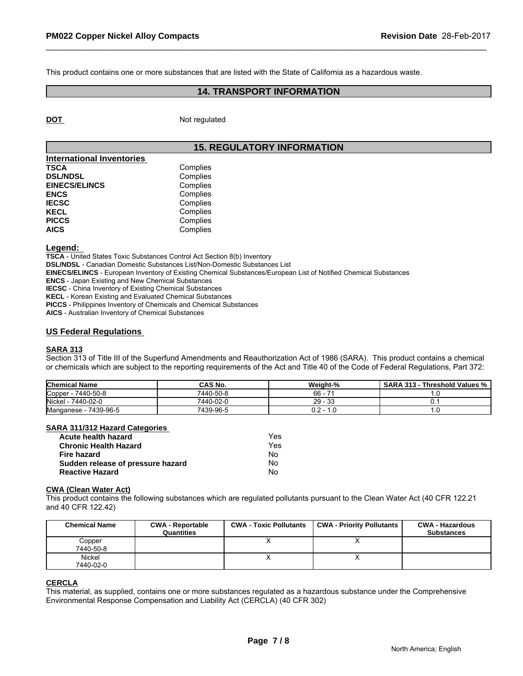This product contains one or more substances that are listed with the State of California as a hazardous waste.

# **14. TRANSPORT INFORMATION**

**DOT** Not regulated

# **15. REGULATORY INFORMATION**

| <b>International Inventories</b> |          |
|----------------------------------|----------|
| <b>TSCA</b>                      | Complies |
| <b>DSL/NDSL</b>                  | Complies |
| <b>EINECS/ELINCS</b>             | Complies |
| <b>ENCS</b>                      | Complies |
| <b>IECSC</b>                     | Complies |
| <b>KECL</b>                      | Complies |
| <b>PICCS</b>                     | Complies |
| <b>AICS</b>                      | Complies |

#### **Legend:**

**TSCA** - United States Toxic Substances Control Act Section 8(b) Inventory

**DSL/NDSL** - Canadian Domestic Substances List/Non-Domestic Substances List

**EINECS/ELINCS** - European Inventory of Existing Chemical Substances/European List of Notified Chemical Substances

**ENCS** - Japan Existing and New Chemical Substances

**IECSC** - China Inventory of Existing Chemical Substances

**KECL** - Korean Existing and Evaluated Chemical Substances

**PICCS** - Philippines Inventory of Chemicals and Chemical Substances

**AICS** - Australian Inventory of Chemical Substances

#### **US Federal Regulations**

# **SARA 313**

Section 313 of Title III of the Superfund Amendments and Reauthorization Act of 1986 (SARA). This product contains a chemical or chemicals which are subject to the reporting requirements of the Act and Title 40 of the Code of Federal Regulations, Part 372:

| <b>Chemical Name</b>       | CAS No.   | Weight-%    | <b>SARA 313</b><br>Threshold Values % |
|----------------------------|-----------|-------------|---------------------------------------|
| Copper<br>7440-50-8        | 7440-50-8 | 66 ·<br>-   | .                                     |
| $-7440 - 02 - 0$<br>Nickel | 7440-02-0 | 33<br>29    |                                       |
| - 7439-96-5<br>Manganese   | 7439-96-5 | 0.2 -<br>.u |                                       |

#### **SARA 311/312 Hazard Categories**

| Acute health hazard               | Yes |  |
|-----------------------------------|-----|--|
| <b>Chronic Health Hazard</b>      | Yes |  |
| Fire hazard                       | N٥  |  |
| Sudden release of pressure hazard | N٥  |  |
| <b>Reactive Hazard</b>            | No  |  |

#### **CWA (Clean Water Act)**

This product contains the following substances which are regulated pollutants pursuant to the Clean Water Act (40 CFR 122.21 and 40 CFR 122.42)

| <b>Chemical Name</b> | <b>CWA - Reportable</b><br>Quantities | <b>CWA - Toxic Pollutants</b> | CWA - Priority Pollutants | <b>CWA - Hazardous</b><br><b>Substances</b> |
|----------------------|---------------------------------------|-------------------------------|---------------------------|---------------------------------------------|
| Copper<br>7440-50-8  |                                       |                               |                           |                                             |
| Nickel<br>7440-02-0  |                                       |                               | ↗                         |                                             |

# **CERCLA**

This material, as supplied, contains one or more substances regulated as a hazardous substance under the Comprehensive Environmental Response Compensation and Liability Act (CERCLA) (40 CFR 302)